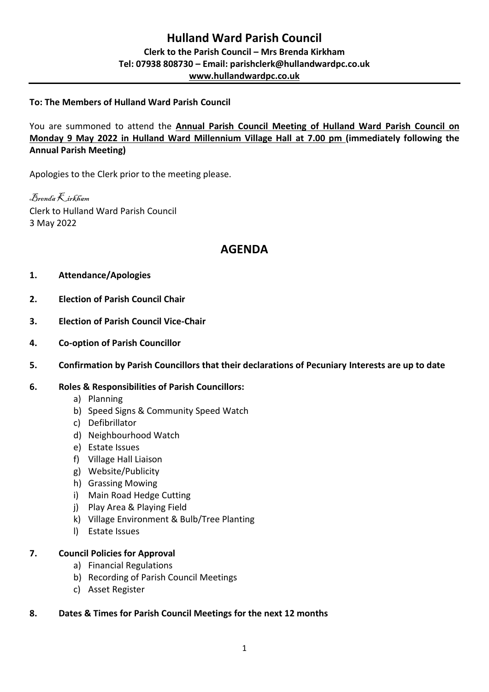# **To: The Members of Hulland Ward Parish Council**

You are summoned to attend the **Annual Parish Council Meeting of Hulland Ward Parish Council on Monday 9 May 2022 in Hulland Ward Millennium Village Hall at 7.00 pm (immediately following the Annual Parish Meeting)**

Apologies to the Clerk prior to the meeting please.

Brenda Kirkham Clerk to Hulland Ward Parish Council 3 May 2022

# **AGENDA**

# **1. Attendance/Apologies**

- **2. Election of Parish Council Chair**
- **3. Election of Parish Council Vice-Chair**
- **4. Co-option of Parish Councillor**
- **5. Confirmation by Parish Councillors that their declarations of Pecuniary Interests are up to date**

#### **6. Roles & Responsibilities of Parish Councillors:**

- a) Planning
- b) Speed Signs & Community Speed Watch
- c) Defibrillator
- d) Neighbourhood Watch
- e) Estate Issues
- f) Village Hall Liaison
- g) Website/Publicity
- h) Grassing Mowing
- i) Main Road Hedge Cutting
- j) Play Area & Playing Field
- k) Village Environment & Bulb/Tree Planting
- l) Estate Issues

#### **7. Council Policies for Approval**

- a) Financial Regulations
- b) Recording of Parish Council Meetings
- c) Asset Register

# **8. Dates & Times for Parish Council Meetings for the next 12 months**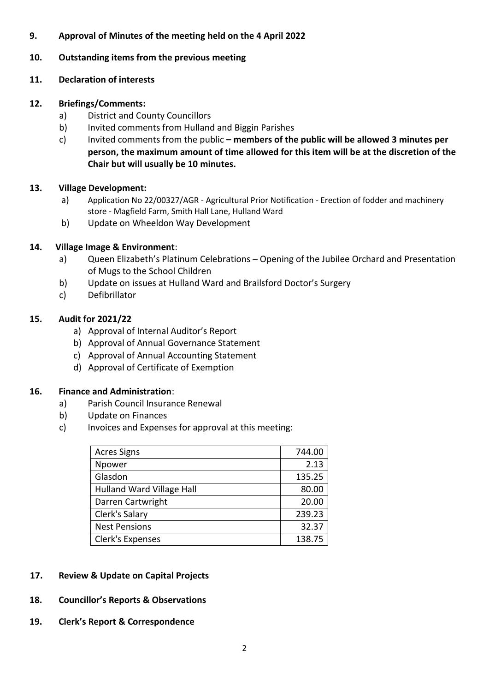# **9. Approval of Minutes of the meeting held on the 4 April 2022**

#### **10. Outstanding items from the previous meeting**

#### **11. Declaration of interests**

#### **12. Briefings/Comments:**

- a) District and County Councillors
- b) Invited comments from Hulland and Biggin Parishes
- c) Invited comments from the public **– members of the public will be allowed 3 minutes per person, the maximum amount of time allowed for this item will be at the discretion of the Chair but will usually be 10 minutes.**

# **13. Village Development:**

- a) Application No 22/00327/AGR Agricultural Prior Notification Erection of fodder and machinery store - Magfield Farm, Smith Hall Lane, Hulland Ward
- b) Update on Wheeldon Way Development

# **14. Village Image & Environment**:

- a) Queen Elizabeth's Platinum Celebrations Opening of the Jubilee Orchard and Presentation of Mugs to the School Children
- b) Update on issues at Hulland Ward and Brailsford Doctor's Surgery
- c) Defibrillator

# **15. Audit for 2021/22**

- a) Approval of Internal Auditor's Report
- b) Approval of Annual Governance Statement
- c) Approval of Annual Accounting Statement
- d) Approval of Certificate of Exemption

#### **16. Finance and Administration**:

- a) Parish Council Insurance Renewal
- b) Update on Finances
- c) Invoices and Expenses for approval at this meeting:

| <b>Acres Signs</b>               | 744.00 |
|----------------------------------|--------|
| Npower                           | 2.13   |
| Glasdon                          | 135.25 |
| <b>Hulland Ward Village Hall</b> | 80.00  |
| Darren Cartwright                | 20.00  |
| Clerk's Salary                   | 239.23 |
| <b>Nest Pensions</b>             | 32.37  |
| Clerk's Expenses                 | 138.75 |

- **17. Review & Update on Capital Projects**
- **18. Councillor's Reports & Observations**
- **19. Clerk's Report & Correspondence**